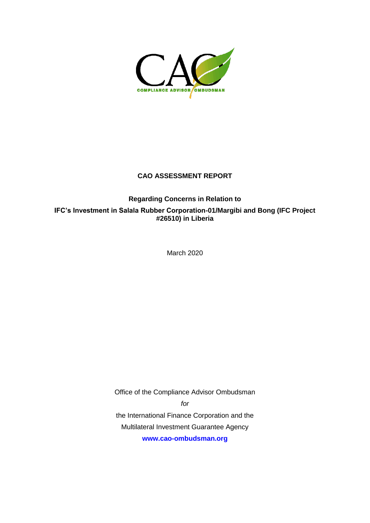

# **CAO ASSESSMENT REPORT**

# **Regarding Concerns in Relation to**

**IFC's Investment in Salala Rubber Corporation-01/Margibi and Bong (IFC Project #26510) in Liberia**

March 2020

Office of the Compliance Advisor Ombudsman

*for*

the International Finance Corporation and the Multilateral Investment Guarantee Agency **[www.cao-ombudsman.org](about:blank)**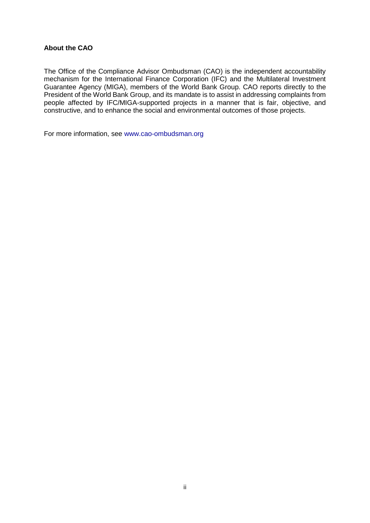### **About the CAO**

The Office of the Compliance Advisor Ombudsman (CAO) is the independent accountability mechanism for the International Finance Corporation (IFC) and the Multilateral Investment Guarantee Agency (MIGA), members of the World Bank Group. CAO reports directly to the President of the World Bank Group, and its mandate is to assist in addressing complaints from people affected by IFC/MIGA-supported projects in a manner that is fair, objective, and constructive, and to enhance the social and environmental outcomes of those projects.

For more information, see www.cao-ombudsman.org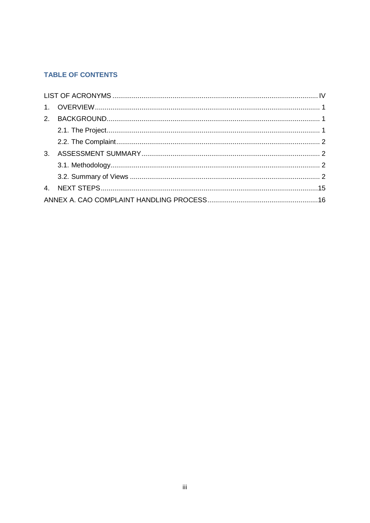# **TABLE OF CONTENTS**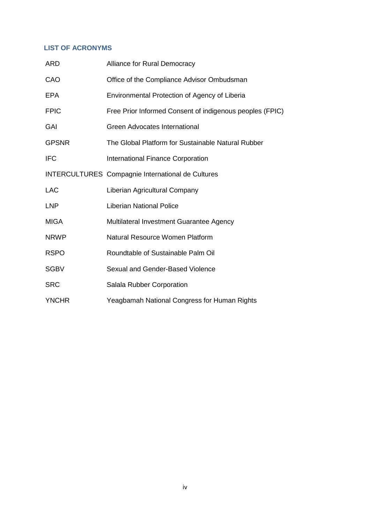# <span id="page-3-0"></span>**LIST OF ACRONYMS**

| <b>ARD</b>   | <b>Alliance for Rural Democracy</b>                      |
|--------------|----------------------------------------------------------|
| CAO          | Office of the Compliance Advisor Ombudsman               |
| <b>EPA</b>   | Environmental Protection of Agency of Liberia            |
| <b>FPIC</b>  | Free Prior Informed Consent of indigenous peoples (FPIC) |
| GAI          | <b>Green Advocates International</b>                     |
| <b>GPSNR</b> | The Global Platform for Sustainable Natural Rubber       |
| <b>IFC</b>   | International Finance Corporation                        |
|              | <b>INTERCULTURES</b> Compagnie International de Cultures |
| <b>LAC</b>   | Liberian Agricultural Company                            |
| <b>LNP</b>   | <b>Liberian National Police</b>                          |
| <b>MIGA</b>  | Multilateral Investment Guarantee Agency                 |
| <b>NRWP</b>  | Natural Resource Women Platform                          |
| <b>RSPO</b>  | Roundtable of Sustainable Palm Oil                       |
| <b>SGBV</b>  | Sexual and Gender-Based Violence                         |
| <b>SRC</b>   | Salala Rubber Corporation                                |
| <b>YNCHR</b> | Yeagbamah National Congress for Human Rights             |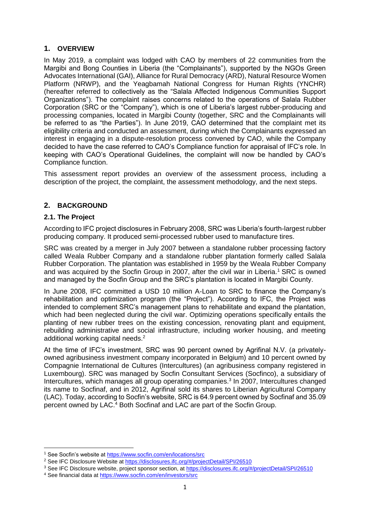# <span id="page-4-0"></span>**1. OVERVIEW**

In May 2019, a complaint was lodged with CAO by members of 22 communities from the Margibi and Bong Counties in Liberia (the "Complainants"), supported by the NGOs Green Advocates International (GAI), Alliance for Rural Democracy (ARD), Natural Resource Women Platform (NRWP), and the Yeagbamah National Congress for Human Rights (YNCHR) (hereafter referred to collectively as the "Salala Affected Indigenous Communities Support Organizations"). The complaint raises concerns related to the operations of Salala Rubber Corporation (SRC or the "Company"), which is one of Liberia's largest rubber-producing and processing companies, located in Margibi County (together, SRC and the Complainants will be referred to as "the Parties"). In June 2019, CAO determined that the complaint met its eligibility criteria and conducted an assessment, during which the Complainants expressed an interest in engaging in a dispute-resolution process convened by CAO, while the Company decided to have the case referred to CAO's Compliance function for appraisal of IFC's role. In keeping with CAO's Operational Guidelines, the complaint will now be handled by CAO's Compliance function.

This assessment report provides an overview of the assessment process, including a description of the project, the complaint, the assessment methodology, and the next steps.

# <span id="page-4-1"></span>**2. BACKGROUND**

## <span id="page-4-2"></span>**2.1. The Project**

 $\overline{a}$ 

According to IFC project disclosures in February 2008, SRC was Liberia's fourth-largest rubber producing company. It produced semi-processed rubber used to manufacture tires.

SRC was created by a merger in July 2007 between a standalone rubber processing factory called Weala Rubber Company and a standalone rubber plantation formerly called Salala Rubber Corporation. The plantation was established in 1959 by the Weala Rubber Company and was acquired by the Socfin Group in 2007, after the civil war in Liberia.<sup>1</sup> SRC is owned and managed by the Socfin Group and the SRC's plantation is located in Margibi County.

In June 2008, IFC committed a USD 10 million A-Loan to SRC to finance the Company's rehabilitation and optimization program (the "Project"). According to IFC, the Project was intended to complement SRC's management plans to rehabilitate and expand the plantation, which had been neglected during the civil war. Optimizing operations specifically entails the planting of new rubber trees on the existing concession, renovating plant and equipment, rebuilding administrative and social infrastructure, including worker housing, and meeting additional working capital needs.<sup>2</sup>

At the time of IFC's investment, SRC was 90 percent owned by Agrifinal N.V. (a privatelyowned agribusiness investment company incorporated in Belgium) and 10 percent owned by Compagnie International de Cultures (Intercultures) (an agribusiness company registered in Luxembourg). SRC was managed by Socfin Consultant Services (Socfinco), a subsidiary of Intercultures, which manages all group operating companies.<sup>3</sup> In 2007, Intercultures changed its name to Socfinaf, and in 2012, Agrifinal sold its shares to Liberian Agricultural Company (LAC). Today, according to Socfin's website, SRC is 64.9 percent owned by Socfinaf and 35.09 percent owned by LAC.<sup>4</sup> Both Socfinaf and LAC are part of the Socfin Group.

<sup>1</sup> See Socfin's website at [https://www.socfin.com/en/locations/src](about:blank)

<sup>&</sup>lt;sup>2</sup> See IFC Disclosure Website a[t https://disclosures.ifc.org/#/projectDetail/SPI/26510](about:blank#/projectDetail/SPI/26510)

<sup>&</sup>lt;sup>3</sup> See IFC Disclosure website, project sponsor section, at [https://disclosures.ifc.org/#/projectDetail/SPI/26510](about:blank#/projectDetail/SPI/26510)

<sup>4</sup> See financial data a[t https://www.socfin.com/en/investors/src](about:blank)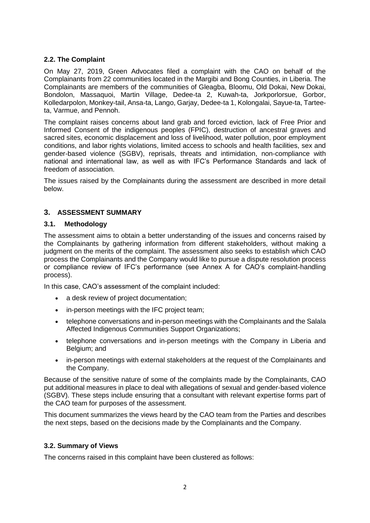## <span id="page-5-0"></span>**2.2. The Complaint**

On May 27, 2019, Green Advocates filed a complaint with the CAO on behalf of the Complainants from 22 communities located in the Margibi and Bong Counties, in Liberia. The Complainants are members of the communities of Gleagba, Bloomu, Old Dokai, New Dokai, Bondolon, Massaquoi, Martin Village, Dedee-ta 2, Kuwah-ta, Jorkporlorsue, Gorbor, Kolledarpolon, Monkey-tail, Ansa-ta, Lango, Garjay, Dedee-ta 1, Kolongalai, Sayue-ta, Tarteeta, Varmue, and Pennoh.

The complaint raises concerns about land grab and forced eviction, lack of Free Prior and Informed Consent of the indigenous peoples (FPIC), destruction of ancestral graves and sacred sites, economic displacement and loss of livelihood, water pollution, poor employment conditions, and labor rights violations, limited access to schools and health facilities, sex and gender-based violence (SGBV), reprisals, threats and intimidation, non-compliance with national and international law, as well as with IFC's Performance Standards and lack of freedom of association.

The issues raised by the Complainants during the assessment are described in more detail below.

# <span id="page-5-1"></span>**3. ASSESSMENT SUMMARY**

### <span id="page-5-2"></span>**3.1. Methodology**

The assessment aims to obtain a better understanding of the issues and concerns raised by the Complainants by gathering information from different stakeholders, without making a judgment on the merits of the complaint. The assessment also seeks to establish which CAO process the Complainants and the Company would like to pursue a dispute resolution process or compliance review of IFC's performance (see Annex A for CAO's complaint-handling process).

In this case, CAO's assessment of the complaint included:

- a desk review of project documentation;
- in-person meetings with the IFC project team;
- telephone conversations and in-person meetings with the Complainants and the Salala Affected Indigenous Communities Support Organizations;
- telephone conversations and in-person meetings with the Company in Liberia and Belgium; and
- in-person meetings with external stakeholders at the request of the Complainants and the Company.

Because of the sensitive nature of some of the complaints made by the Complainants, CAO put additional measures in place to deal with allegations of sexual and gender-based violence (SGBV). These steps include ensuring that a consultant with relevant expertise forms part of the CAO team for purposes of the assessment.

This document summarizes the views heard by the CAO team from the Parties and describes the next steps, based on the decisions made by the Complainants and the Company.

### <span id="page-5-3"></span>**3.2. Summary of Views**

The concerns raised in this complaint have been clustered as follows: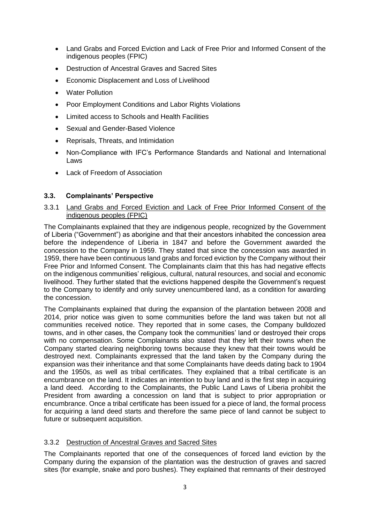- Land Grabs and Forced Eviction and Lack of Free Prior and Informed Consent of the indigenous peoples (FPIC)
- Destruction of Ancestral Graves and Sacred Sites
- Economic Displacement and Loss of Livelihood
- Water Pollution
- Poor Employment Conditions and Labor Rights Violations
- Limited access to Schools and Health Facilities
- Sexual and Gender-Based Violence
- Reprisals, Threats, and Intimidation
- Non-Compliance with IFC's Performance Standards and National and International Laws
- Lack of Freedom of Association

## **3.3. Complainants' Perspective**

3.3.1 Land Grabs and Forced Eviction and Lack of Free Prior Informed Consent of the indigenous peoples (FPIC)

The Complainants explained that they are indigenous people, recognized by the Government of Liberia ("Government") as aborigine and that their ancestors inhabited the concession area before the independence of Liberia in 1847 and before the Government awarded the concession to the Company in 1959. They stated that since the concession was awarded in 1959, there have been continuous land grabs and forced eviction by the Company without their Free Prior and Informed Consent. The Complainants claim that this has had negative effects on the indigenous communities' religious, cultural, natural resources, and social and economic livelihood. They further stated that the evictions happened despite the Government's request to the Company to identify and only survey unencumbered land, as a condition for awarding the concession.

The Complainants explained that during the expansion of the plantation between 2008 and 2014, prior notice was given to some communities before the land was taken but not all communities received notice. They reported that in some cases, the Company bulldozed towns, and in other cases, the Company took the communities' land or destroyed their crops with no compensation. Some Complainants also stated that they left their towns when the Company started clearing neighboring towns because they knew that their towns would be destroyed next. Complainants expressed that the land taken by the Company during the expansion was their inheritance and that some Complainants have deeds dating back to 1904 and the 1950s, as well as tribal certificates. They explained that a tribal certificate is an encumbrance on the land. It indicates an intention to buy land and is the first step in acquiring a land deed. According to the Complainants, the Public Land Laws of Liberia prohibit the President from awarding a concession on land that is subject to prior appropriation or encumbrance. Once a tribal certificate has been issued for a piece of land, the formal process for acquiring a land deed starts and therefore the same piece of land cannot be subject to future or subsequent acquisition.

# 3.3.2 Destruction of Ancestral Graves and Sacred Sites

The Complainants reported that one of the consequences of forced land eviction by the Company during the expansion of the plantation was the destruction of graves and sacred sites (for example, snake and poro bushes). They explained that remnants of their destroyed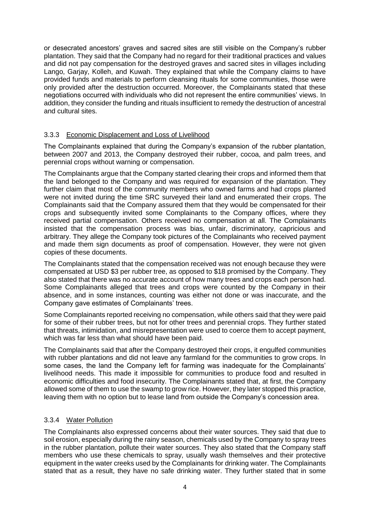or desecrated ancestors' graves and sacred sites are still visible on the Company's rubber plantation. They said that the Company had no regard for their traditional practices and values and did not pay compensation for the destroyed graves and sacred sites in villages including Lango, Garjay, Kolleh, and Kuwah. They explained that while the Company claims to have provided funds and materials to perform cleansing rituals for some communities, those were only provided after the destruction occurred. Moreover, the Complainants stated that these negotiations occurred with individuals who did not represent the entire communities' views. In addition, they consider the funding and rituals insufficient to remedy the destruction of ancestral and cultural sites.

### 3.3.3 Economic Displacement and Loss of Livelihood

The Complainants explained that during the Company's expansion of the rubber plantation, between 2007 and 2013, the Company destroyed their rubber, cocoa, and palm trees, and perennial crops without warning or compensation.

The Complainants argue that the Company started clearing their crops and informed them that the land belonged to the Company and was required for expansion of the plantation. They further claim that most of the community members who owned farms and had crops planted were not invited during the time SRC surveyed their land and enumerated their crops. The Complainants said that the Company assured them that they would be compensated for their crops and subsequently invited some Complainants to the Company offices, where they received partial compensation. Others received no compensation at all. The Complainants insisted that the compensation process was bias, unfair, discriminatory, capricious and arbitrary. They allege the Company took pictures of the Complainants who received payment and made them sign documents as proof of compensation. However, they were not given copies of these documents.

The Complainants stated that the compensation received was not enough because they were compensated at USD \$3 per rubber tree, as opposed to \$18 promised by the Company. They also stated that there was no accurate account of how many trees and crops each person had. Some Complainants alleged that trees and crops were counted by the Company in their absence, and in some instances, counting was either not done or was inaccurate, and the Company gave estimates of Complainants' trees.

Some Complainants reported receiving no compensation, while others said that they were paid for some of their rubber trees, but not for other trees and perennial crops. They further stated that threats, intimidation, and misrepresentation were used to coerce them to accept payment, which was far less than what should have been paid.

The Complainants said that after the Company destroyed their crops, it engulfed communities with rubber plantations and did not leave any farmland for the communities to grow crops. In some cases, the land the Company left for farming was inadequate for the Complainants' livelihood needs. This made it impossible for communities to produce food and resulted in economic difficulties and food insecurity. The Complainants stated that, at first, the Company allowed some of them to use the swamp to grow rice. However, they later stopped this practice, leaving them with no option but to lease land from outside the Company's concession area.

### 3.3.4 Water Pollution

The Complainants also expressed concerns about their water sources. They said that due to soil erosion, especially during the rainy season, chemicals used by the Company to spray trees in the rubber plantation, pollute their water sources. They also stated that the Company staff members who use these chemicals to spray, usually wash themselves and their protective equipment in the water creeks used by the Complainants for drinking water. The Complainants stated that as a result, they have no safe drinking water. They further stated that in some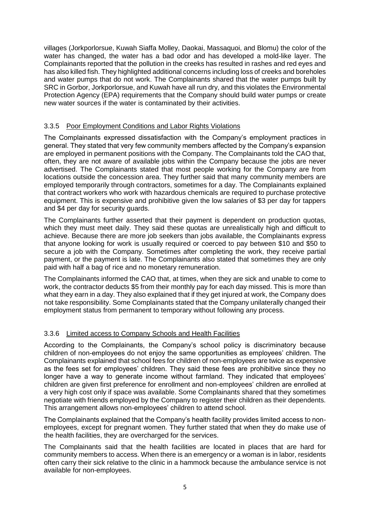villages (Jorkporlorsue, Kuwah Siaffa Molley, Daokai, Massaquoi, and Blomu) the color of the water has changed, the water has a bad odor and has developed a mold-like layer. The Complainants reported that the pollution in the creeks has resulted in rashes and red eyes and has also killed fish. They highlighted additional concerns including loss of creeks and boreholes and water pumps that do not work. The Complainants shared that the water pumps built by SRC in Gorbor, Jorkporlorsue, and Kuwah have all run dry, and this violates the Environmental Protection Agency (EPA) requirements that the Company should build water pumps or create new water sources if the water is contaminated by their activities.

# 3.3.5 Poor Employment Conditions and Labor Rights Violations

The Complainants expressed dissatisfaction with the Company's employment practices in general. They stated that very few community members affected by the Company's expansion are employed in permanent positions with the Company. The Complainants told the CAO that, often, they are not aware of available jobs within the Company because the jobs are never advertised. The Complainants stated that most people working for the Company are from locations outside the concession area. They further said that many community members are employed temporarily through contractors, sometimes for a day. The Complainants explained that contract workers who work with hazardous chemicals are required to purchase protective equipment. This is expensive and prohibitive given the low salaries of \$3 per day for tappers and \$4 per day for security guards.

The Complainants further asserted that their payment is dependent on production quotas, which they must meet daily. They said these quotas are unrealistically high and difficult to achieve. Because there are more job seekers than jobs available, the Complainants express that anyone looking for work is usually required or coerced to pay between \$10 and \$50 to secure a job with the Company. Sometimes after completing the work, they receive partial payment, or the payment is late. The Complainants also stated that sometimes they are only paid with half a bag of rice and no monetary remuneration.

The Complainants informed the CAO that, at times, when they are sick and unable to come to work, the contractor deducts \$5 from their monthly pay for each day missed. This is more than what they earn in a day. They also explained that if they get injured at work, the Company does not take responsibility. Some Complainants stated that the Company unilaterally changed their employment status from permanent to temporary without following any process.

# 3.3.6 Limited access to Company Schools and Health Facilities

According to the Complainants, the Company's school policy is discriminatory because children of non-employees do not enjoy the same opportunities as employees' children. The Complainants explained that school fees for children of non-employees are twice as expensive as the fees set for employees' children. They said these fees are prohibitive since they no longer have a way to generate income without farmland. They indicated that employees' children are given first preference for enrollment and non-employees' children are enrolled at a very high cost only if space was available. Some Complainants shared that they sometimes negotiate with friends employed by the Company to register their children as their dependents. This arrangement allows non-employees' children to attend school.

The Complainants explained that the Company's health facility provides limited access to nonemployees, except for pregnant women. They further stated that when they do make use of the health facilities, they are overcharged for the services.

The Complainants said that the health facilities are located in places that are hard for community members to access. When there is an emergency or a woman is in labor, residents often carry their sick relative to the clinic in a hammock because the ambulance service is not available for non-employees.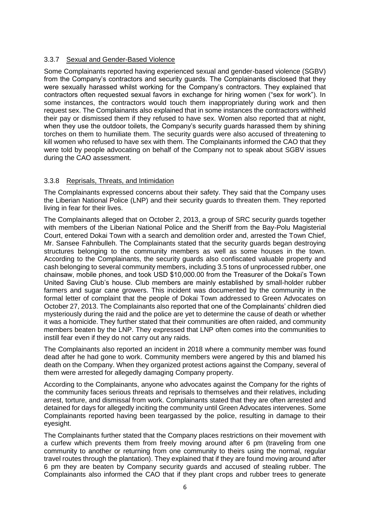## 3.3.7 Sexual and Gender-Based Violence

Some Complainants reported having experienced sexual and gender-based violence (SGBV) from the Company's contractors and security guards. The Complainants disclosed that they were sexually harassed whilst working for the Company's contractors. They explained that contractors often requested sexual favors in exchange for hiring women ("sex for work"). In some instances, the contractors would touch them inappropriately during work and then request sex. The Complainants also explained that in some instances the contractors withheld their pay or dismissed them if they refused to have sex. Women also reported that at night, when they use the outdoor toilets, the Company's security guards harassed them by shining torches on them to humiliate them. The security guards were also accused of threatening to kill women who refused to have sex with them. The Complainants informed the CAO that they were told by people advocating on behalf of the Company not to speak about SGBV issues during the CAO assessment.

## 3.3.8 Reprisals, Threats, and Intimidation

The Complainants expressed concerns about their safety. They said that the Company uses the Liberian National Police (LNP) and their security guards to threaten them. They reported living in fear for their lives.

The Complainants alleged that on October 2, 2013, a group of SRC security guards together with members of the Liberian National Police and the Sheriff from the Bay-Polu Magisterial Court, entered Dokai Town with a search and demolition order and, arrested the Town Chief, Mr. Sansee Fahnbulleh. The Complainants stated that the security guards began destroying structures belonging to the community members as well as some houses in the town. According to the Complainants, the security guards also confiscated valuable property and cash belonging to several community members, including 3.5 tons of unprocessed rubber, one chainsaw, mobile phones, and took USD \$10,000.00 from the Treasurer of the Dokai's Town United Saving Club's house. Club members are mainly established by small-holder rubber farmers and sugar cane growers. This incident was documented by the community in the formal letter of complaint that the people of Dokai Town addressed to Green Advocates on October 27, 2013. The Complainants also reported that one of the Complainants' children died mysteriously during the raid and the police are yet to determine the cause of death or whether it was a homicide. They further stated that their communities are often raided, and community members beaten by the LNP. They expressed that LNP often comes into the communities to instill fear even if they do not carry out any raids.

The Complainants also reported an incident in 2018 where a community member was found dead after he had gone to work. Community members were angered by this and blamed his death on the Company. When they organized protest actions against the Company, several of them were arrested for allegedly damaging Company property.

According to the Complainants, anyone who advocates against the Company for the rights of the community faces serious threats and reprisals to themselves and their relatives, including arrest, torture, and dismissal from work. Complainants stated that they are often arrested and detained for days for allegedly inciting the community until Green Advocates intervenes. Some Complainants reported having been teargassed by the police, resulting in damage to their eyesight.

The Complainants further stated that the Company places restrictions on their movement with a curfew which prevents them from freely moving around after 6 pm (traveling from one community to another or returning from one community to theirs using the normal, regular travel routes through the plantation). They explained that if they are found moving around after 6 pm they are beaten by Company security guards and accused of stealing rubber. The Complainants also informed the CAO that if they plant crops and rubber trees to generate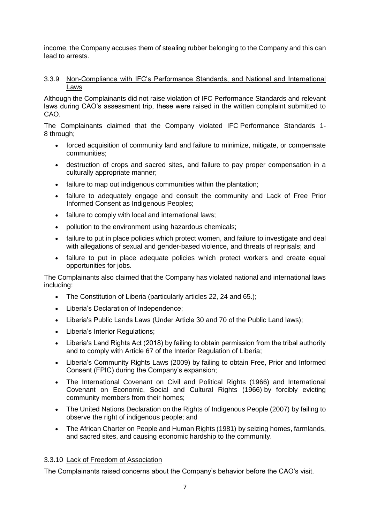income, the Company accuses them of stealing rubber belonging to the Company and this can lead to arrests.

### 3.3.9 Non-Compliance with IFC's Performance Standards, and National and International Laws

Although the Complainants did not raise violation of IFC Performance Standards and relevant laws during CAO's assessment trip, these were raised in the written complaint submitted to CAO.

The Complainants claimed that the Company violated IFC Performance Standards 1- 8 through;

- forced acquisition of community land and failure to minimize, mitigate, or compensate communities;
- destruction of crops and sacred sites, and failure to pay proper compensation in a culturally appropriate manner;
- failure to map out indigenous communities within the plantation;
- failure to adequately engage and consult the community and Lack of Free Prior Informed Consent as Indigenous Peoples;
- failure to comply with local and international laws;
- pollution to the environment using hazardous chemicals;
- failure to put in place policies which protect women, and failure to investigate and deal with allegations of sexual and gender-based violence, and threats of reprisals; and
- failure to put in place adequate policies which protect workers and create equal opportunities for jobs.

The Complainants also claimed that the Company has violated national and international laws including:

- The Constitution of Liberia (particularly articles 22, 24 and 65.);
- Liberia's Declaration of Independence;
- Liberia's Public Lands Laws (Under Article 30 and 70 of the Public Land laws);
- Liberia's Interior Regulations;
- Liberia's Land Rights Act (2018) by failing to obtain permission from the tribal authority and to comply with Article 67 of the Interior Regulation of Liberia;
- Liberia's Community Rights Laws (2009) by failing to obtain Free, Prior and Informed Consent (FPIC) during the Company's expansion;
- The International Covenant on Civil and Political Rights (1966) and International Covenant on Economic, Social and Cultural Rights (1966) by forcibly evicting community members from their homes;
- The United Nations Declaration on the Rights of Indigenous People (2007) by failing to observe the right of indigenous people; and
- The African Charter on People and Human Rights (1981) by seizing homes, farmlands, and sacred sites, and causing economic hardship to the community.

# 3.3.10 Lack of Freedom of Association

The Complainants raised concerns about the Company's behavior before the CAO's visit.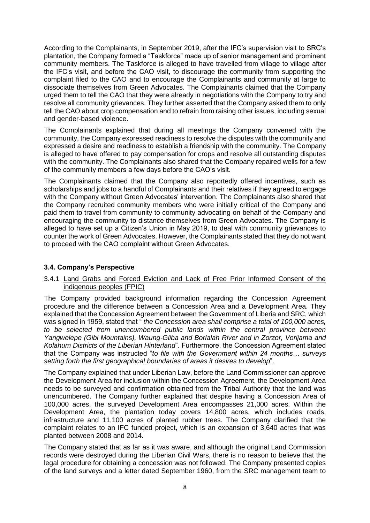According to the Complainants, in September 2019, after the IFC's supervision visit to SRC's plantation, the Company formed a "Taskforce" made up of senior management and prominent community members. The Taskforce is alleged to have travelled from village to village after the IFC's visit, and before the CAO visit, to discourage the community from supporting the complaint filed to the CAO and to encourage the Complainants and community at large to dissociate themselves from Green Advocates. The Complainants claimed that the Company urged them to tell the CAO that they were already in negotiations with the Company to try and resolve all community grievances. They further asserted that the Company asked them to only tell the CAO about crop compensation and to refrain from raising other issues, including sexual and gender-based violence.

The Complainants explained that during all meetings the Company convened with the community, the Company expressed readiness to resolve the disputes with the community and expressed a desire and readiness to establish a friendship with the community. The Company is alleged to have offered to pay compensation for crops and resolve all outstanding disputes with the community. The Complainants also shared that the Company repaired wells for a few of the community members a few days before the CAO's visit.

The Complainants claimed that the Company also reportedly offered incentives, such as scholarships and jobs to a handful of Complainants and their relatives if they agreed to engage with the Company without Green Advocates' intervention. The Complainants also shared that the Company recruited community members who were initially critical of the Company and paid them to travel from community to community advocating on behalf of the Company and encouraging the community to distance themselves from Green Advocates. The Company is alleged to have set up a Citizen's Union in May 2019, to deal with community grievances to counter the work of Green Advocates. However, the Complainants stated that they do not want to proceed with the CAO complaint without Green Advocates.

# **3.4. Company's Perspective**

### 3.4.1 Land Grabs and Forced Eviction and Lack of Free Prior Informed Consent of the indigenous peoples (FPIC)

The Company provided background information regarding the Concession Agreement procedure and the difference between a Concession Area and a Development Area. They explained that the Concession Agreement between the Government of Liberia and SRC, which was signed in 1959, stated that " *the Concession area shall comprise a total of 100,000 acres, to be selected from unencumbered public lands within the central province between Yangwelepe (Gibi Mountains), Waung-Gliba and Borlalah River and in Zorzor, Vorijama and Kolahum Districts of the Liberian Hinterland*". Furthermore, the Concession Agreement stated that the Company was instructed "*to file with the Government within 24 months… surveys setting forth the first geographical boundaries of areas it desires to develop*".

The Company explained that under Liberian Law, before the Land Commissioner can approve the Development Area for inclusion within the Concession Agreement, the Development Area needs to be surveyed and confirmation obtained from the Tribal Authority that the land was unencumbered. The Company further explained that despite having a Concession Area of 100,000 acres, the surveyed Development Area encompasses 21,000 acres. Within the Development Area, the plantation today covers 14,800 acres, which includes roads, infrastructure and 11,100 acres of planted rubber trees. The Company clarified that the complaint relates to an IFC funded project, which is an expansion of 3,640 acres that was planted between 2008 and 2014.

The Company stated that as far as it was aware, and although the original Land Commission records were destroyed during the Liberian Civil Wars, there is no reason to believe that the legal procedure for obtaining a concession was not followed. The Company presented copies of the land surveys and a letter dated September 1960, from the SRC management team to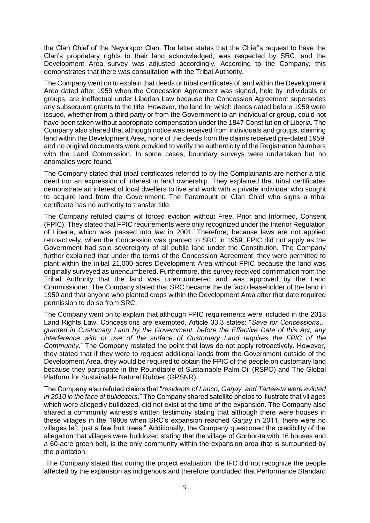the Clan Chief of the Neyorkpor Clan. The letter states that the Chief's request to have the Clan's proprietary rights to their land acknowledged, was respected by SRC, and the Development Area survey was adjusted accordingly. According to the Company, this demonstrates that there was consultation with the Tribal Authority.

The Company went on to explain that deeds or tribal certificates of land within the Development Area dated after 1959 when the Concession Agreement was signed, held by individuals or groups, are ineffectual under Liberian Law because the Concession Agreement supersedes any subsequent grants to the title. However, the land for which deeds dated before 1959 were issued, whether from a third party or from the Government to an individual or group, could not have been taken without appropriate compensation under the 1847 Constitution of Liberia. The Company also shared that although notice was received from individuals and groups, claiming land within the Development Area, none of the deeds from the claims received pre-dated 1959, and no original documents were provided to verify the authenticity of the Registration Numbers with the Land Commission. In some cases, boundary surveys were undertaken but no anomalies were found.

The Company stated that tribal certificates referred to by the Complainants are neither a title deed nor an expression of interest in land ownership. They explained that tribal certificates demonstrate an interest of local dwellers to live and work with a private individual who sought to acquire land from the Government. The Paramount or Clan Chief who signs a tribal certificate has no authority to transfer title.

The Company refuted claims of forced eviction without Free, Prior and Informed, Consent (FPIC). They stated that FPIC requirements were only recognized under the Interior Regulation of Liberia, which was passed into law in 2001. Therefore, because laws are not applied retroactively, when the Concession was granted to SRC in 1959, FPIC did not apply as the Government had sole sovereignty of all public land under the Constitution. The Company further explained that under the terms of the Concession Agreement, they were permitted to plant within the initial 21,000-acres Development Area without FPIC because the land was originally surveyed as unencumbered. Furthermore, this survey received confirmation from the Tribal Authority that the land was unencumbered and was approved by the Land Commissioner. The Company stated that SRC became the de facto leaseholder of the land in 1959 and that anyone who planted crops within the Development Area after that date required permission to do so from SRC.

The Company went on to explain that although FPIC requirements were included in the 2018 Land Rights Law, Concessions are exempted. Article 33.3 states: "*Save for Concessions… granted in Customary Land by the Government, before the Effective Date of this Act, any interference with or use of the surface of Customary Land requires the FPIC of the Community*." The Company restated the point that laws do not apply retroactively. However, they stated that if they were to request additional lands from the Government outside of the Development Area, they would be required to obtain the FPIC of the people on customary land because they participate in the Roundtable of Sustainable Palm Oil (RSPO) and The Global Platform for Sustainable Natural Rubber (GPSNR).

The Company also refuted claims that "*residents of Lanco, Garjay, and Tartee-ta were evicted in 2010 in the face of bulldozers*." The Company shared satellite photos to illustrate that villages which were allegedly bulldozed, did not exist at the time of the expansion. The Company also shared a community witness's written testimony stating that although there were houses in these villages in the 1980s when SRC's expansion reached Garjay in 2011, there were no villages left, just a few fruit trees." Additionally, the Company questioned the credibility of the allegation that villages were bulldozed stating that the village of Gorbor-ta with 16 houses and a 60-acre green belt, is the only community within the expansion area that is surrounded by the plantation.

The Company stated that during the project evaluation, the IFC did not recognize the people affected by the expansion as indigenous and therefore concluded that Performance Standard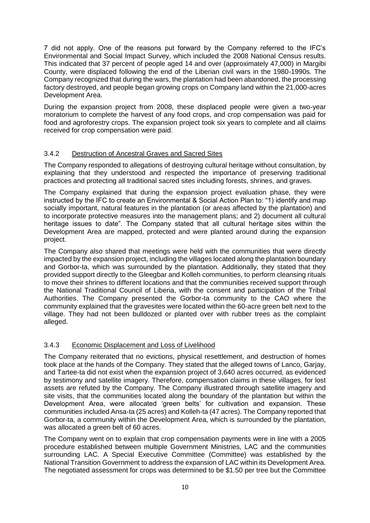7 did not apply. One of the reasons put forward by the Company referred to the IFC's Environmental and Social Impact Survey, which included the 2008 National Census results. This indicated that 37 percent of people aged 14 and over (approximately 47,000) in Margibi County, were displaced following the end of the Liberian civil wars in the 1980-1990s. The Company recognized that during the wars, the plantation had been abandoned, the processing factory destroyed, and people began growing crops on Company land within the 21,000-acres Development Area.

During the expansion project from 2008, these displaced people were given a two-year moratorium to complete the harvest of any food crops, and crop compensation was paid for food and agroforestry crops. The expansion project took six years to complete and all claims received for crop compensation were paid.

# 3.4.2 Destruction of Ancestral Graves and Sacred Sites

The Company responded to allegations of destroying cultural heritage without consultation, by explaining that they understood and respected the importance of preserving traditional practices and protecting all traditional sacred sites including forests, shrines, and graves.

The Company explained that during the expansion project evaluation phase, they were instructed by the IFC to create an Environmental & Social Action Plan to: "1) identify and map socially important, natural features in the plantation (or areas affected by the plantation) and to incorporate protective measures into the management plans; and 2) document all cultural heritage issues to date". The Company stated that all cultural heritage sites within the Development Area are mapped, protected and were planted around during the expansion project.

The Company also shared that meetings were held with the communities that were directly impacted by the expansion project, including the villages located along the plantation boundary and Gorbor-ta, which was surrounded by the plantation. Additionally, they stated that they provided support directly to the Gleegbar and Kolleh communities, to perform cleansing rituals to move their shrines to different locations and that the communities received support through the National Traditional Council of Liberia, with the consent and participation of the Tribal Authorities. The Company presented the Gorbor-ta community to the CAO where the community explained that the gravesites were located within the 60-acre green belt next to the village. They had not been bulldozed or planted over with rubber trees as the complaint alleged.

### 3.4.3 Economic Displacement and Loss of Livelihood

The Company reiterated that no evictions, physical resettlement, and destruction of homes took place at the hands of the Company. They stated that the alleged towns of Lanco, Garjay, and Tartee-ta did not exist when the expansion project of 3,640 acres occurred, as evidenced by testimony and satellite imagery. Therefore, compensation claims in these villages, for lost assets are refuted by the Company. The Company illustrated through satellite imagery and site visits, that the communities located along the boundary of the plantation but within the Development Area, were allocated 'green belts' for cultivation and expansion. These communities included Ansa-ta (25 acres) and Kolleh-ta (47 acres). The Company reported that Gorbor-ta, a community within the Development Area, which is surrounded by the plantation, was allocated a green belt of 60 acres.

The Company went on to explain that crop compensation payments were in line with a 2005 procedure established between multiple Government Ministries, LAC and the communities surrounding LAC. A Special Executive Committee (Committee) was established by the National Transition Government to address the expansion of LAC within its Development Area. The negotiated assessment for crops was determined to be \$1.50 per tree but the Committee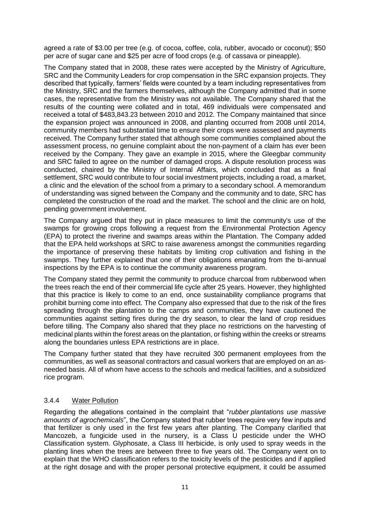agreed a rate of \$3.00 per tree (e.g. of cocoa, coffee, cola, rubber, avocado or coconut); \$50 per acre of sugar cane and \$25 per acre of food crops (e.g. of cassava or pineapple).

The Company stated that in 2008, these rates were accepted by the Ministry of Agriculture, SRC and the Community Leaders for crop compensation in the SRC expansion projects. They described that typically, farmers' fields were counted by a team including representatives from the Ministry, SRC and the farmers themselves, although the Company admitted that in some cases, the representative from the Ministry was not available. The Company shared that the results of the counting were collated and in total, 469 individuals were compensated and received a total of \$483,843.23 between 2010 and 2012. The Company maintained that since the expansion project was announced in 2008, and planting occurred from 2008 until 2014, community members had substantial time to ensure their crops were assessed and payments received. The Company further stated that although some communities complained about the assessment process, no genuine complaint about the non-payment of a claim has ever been received by the Company. They gave an example in 2015, where the Gleegbar community and SRC failed to agree on the number of damaged crops. A dispute resolution process was conducted, chaired by the Ministry of Internal Affairs, which concluded that as a final settlement, SRC would contribute to four social investment projects, including a road, a market, a clinic and the elevation of the school from a primary to a secondary school. A memorandum of understanding was signed between the Company and the community and to date, SRC has completed the construction of the road and the market. The school and the clinic are on hold, pending government involvement.

The Company argued that they put in place measures to limit the community's use of the swamps for growing crops following a request from the Environmental Protection Agency (EPA) to protect the riverine and swamps areas within the Plantation. The Company added that the EPA held workshops at SRC to raise awareness amongst the communities regarding the importance of preserving these habitats by limiting crop cultivation and fishing in the swamps. They further explained that one of their obligations emanating from the bi-annual inspections by the EPA is to continue the community awareness program.

The Company stated they permit the community to produce charcoal from rubberwood when the trees reach the end of their commercial life cycle after 25 years. However, they highlighted that this practice is likely to come to an end, once sustainability compliance programs that prohibit burning come into effect. The Company also expressed that due to the risk of the fires spreading through the plantation to the camps and communities, they have cautioned the communities against setting fires during the dry season, to clear the land of crop residues before tilling. The Company also shared that they place no restrictions on the harvesting of medicinal plants within the forest areas on the plantation, or fishing within the creeks or streams along the boundaries unless EPA restrictions are in place.

The Company further stated that they have recruited 300 permanent employees from the communities, as well as seasonal contractors and casual workers that are employed on an asneeded basis. All of whom have access to the schools and medical facilities, and a subsidized rice program.

# 3.4.4 Water Pollution

Regarding the allegations contained in the complaint that "*rubber plantations use massive amounts of agrochemicals*", the Company stated that rubber trees require very few inputs and that fertilizer is only used in the first few years after planting. The Company clarified that Mancozeb, a fungicide used in the nursery, is a Class U pesticide under the WHO Classification system. Glyphosate, a Class III herbicide, is only used to spray weeds in the planting lines when the trees are between three to five years old. The Company went on to explain that the WHO classification refers to the toxicity levels of the pesticides and if applied at the right dosage and with the proper personal protective equipment, it could be assumed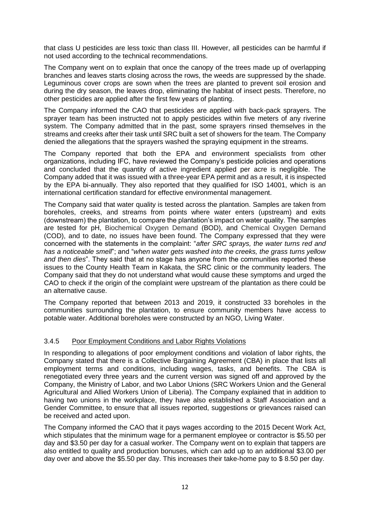that class U pesticides are less toxic than class III. However, all pesticides can be harmful if not used according to the technical recommendations.

The Company went on to explain that once the canopy of the trees made up of overlapping branches and leaves starts closing across the rows, the weeds are suppressed by the shade. Leguminous cover crops are sown when the trees are planted to prevent soil erosion and during the dry season, the leaves drop, eliminating the habitat of insect pests. Therefore, no other pesticides are applied after the first few years of planting.

The Company informed the CAO that pesticides are applied with back-pack sprayers. The sprayer team has been instructed not to apply pesticides within five meters of any riverine system. The Company admitted that in the past, some sprayers rinsed themselves in the streams and creeks after their task until SRC built a set of showers for the team. The Company denied the allegations that the sprayers washed the spraying equipment in the streams.

The Company reported that both the EPA and environment specialists from other organizations, including IFC, have reviewed the Company's pesticide policies and operations and concluded that the quantity of active ingredient applied per acre is negligible. The Company added that it was issued with a three-year EPA permit and as a result, it is inspected by the EPA bi-annually. They also reported that they qualified for ISO 14001, which is an international certification standard for effective environmental management.

The Company said that water quality is tested across the plantation. Samples are taken from boreholes, creeks, and streams from points where water enters (upstream) and exits (downstream) the plantation, to compare the plantation's impact on water quality. The samples are tested for pH, Biochemical Oxygen Demand (BOD), and Chemical Oxygen Demand (COD), and to date, no issues have been found. The Company expressed that they were concerned with the statements in the complaint: "*after SRC sprays, the water turns red and has a noticeable smell*"; and "*when water gets washed into the creeks, the grass turns yellow and then dies*". They said that at no stage has anyone from the communities reported these issues to the County Health Team in Kakata, the SRC clinic or the community leaders. The Company said that they do not understand what would cause these symptoms and urged the CAO to check if the origin of the complaint were upstream of the plantation as there could be an alternative cause.

The Company reported that between 2013 and 2019, it constructed 33 boreholes in the communities surrounding the plantation, to ensure community members have access to potable water. Additional boreholes were constructed by an NGO, Living Water.

# 3.4.5 Poor Employment Conditions and Labor Rights Violations

In responding to allegations of poor employment conditions and violation of labor rights, the Company stated that there is a Collective Bargaining Agreement (CBA) in place that lists all employment terms and conditions, including wages, tasks, and benefits. The CBA is renegotiated every three years and the current version was signed off and approved by the Company, the Ministry of Labor, and two Labor Unions (SRC Workers Union and the General Agricultural and Allied Workers Union of Liberia). The Company explained that in addition to having two unions in the workplace, they have also established a Staff Association and a Gender Committee, to ensure that all issues reported, suggestions or grievances raised can be received and acted upon.

The Company informed the CAO that it pays wages according to the 2015 Decent Work Act, which stipulates that the minimum wage for a permanent employee or contractor is \$5.50 per day and \$3.50 per day for a casual worker. The Company went on to explain that tappers are also entitled to quality and production bonuses, which can add up to an additional \$3.00 per day over and above the \$5.50 per day. This increases their take-home pay to \$ 8.50 per day.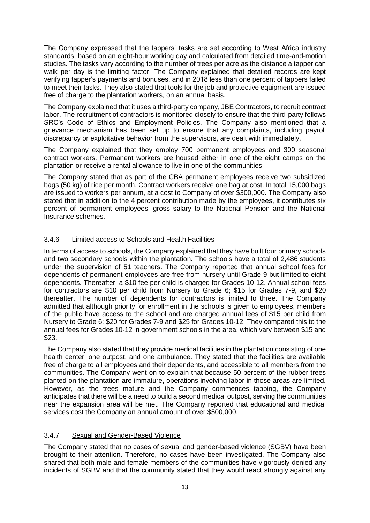The Company expressed that the tappers' tasks are set according to West Africa industry standards, based on an eight-hour working day and calculated from detailed time-and-motion studies. The tasks vary according to the number of trees per acre as the distance a tapper can walk per day is the limiting factor. The Company explained that detailed records are kept verifying tapper's payments and bonuses, and in 2018 less than one percent of tappers failed to meet their tasks. They also stated that tools for the job and protective equipment are issued free of charge to the plantation workers, on an annual basis.

The Company explained that it uses a third-party company, JBE Contractors, to recruit contract labor. The recruitment of contractors is monitored closely to ensure that the third-party follows SRC's Code of Ethics and Employment Policies. The Company also mentioned that a grievance mechanism has been set up to ensure that any complaints, including payroll discrepancy or exploitative behavior from the supervisors, are dealt with immediately.

The Company explained that they employ 700 permanent employees and 300 seasonal contract workers. Permanent workers are housed either in one of the eight camps on the plantation or receive a rental allowance to live in one of the communities.

The Company stated that as part of the CBA permanent employees receive two subsidized bags (50 kg) of rice per month. Contract workers receive one bag at cost. In total 15,000 bags are issued to workers per annum, at a cost to Company of over \$300,000. The Company also stated that in addition to the 4 percent contribution made by the employees, it contributes six percent of permanent employees' gross salary to the National Pension and the National Insurance schemes.

# 3.4.6 Limited access to Schools and Health Facilities

In terms of access to schools, the Company explained that they have built four primary schools and two secondary schools within the plantation. The schools have a total of 2,486 students under the supervision of 51 teachers. The Company reported that annual school fees for dependents of permanent employees are free from nursery until Grade 9 but limited to eight dependents. Thereafter, a \$10 fee per child is charged for Grades 10-12. Annual school fees for contractors are \$10 per child from Nursery to Grade 6; \$15 for Grades 7-9, and \$20 thereafter. The number of dependents for contractors is limited to three. The Company admitted that although priority for enrollment in the schools is given to employees, members of the public have access to the school and are charged annual fees of \$15 per child from Nursery to Grade 6; \$20 for Grades 7-9 and \$25 for Grades 10-12. They compared this to the annual fees for Grades 10-12 in government schools in the area, which vary between \$15 and \$23.

The Company also stated that they provide medical facilities in the plantation consisting of one health center, one outpost, and one ambulance. They stated that the facilities are available free of charge to all employees and their dependents, and accessible to all members from the communities. The Company went on to explain that because 50 percent of the rubber trees planted on the plantation are immature, operations involving labor in those areas are limited. However, as the trees mature and the Company commences tapping, the Company anticipates that there will be a need to build a second medical outpost, serving the communities near the expansion area will be met. The Company reported that educational and medical services cost the Company an annual amount of over \$500,000.

# 3.4.7 Sexual and Gender-Based Violence

The Company stated that no cases of sexual and gender-based violence (SGBV) have been brought to their attention. Therefore, no cases have been investigated. The Company also shared that both male and female members of the communities have vigorously denied any incidents of SGBV and that the community stated that they would react strongly against any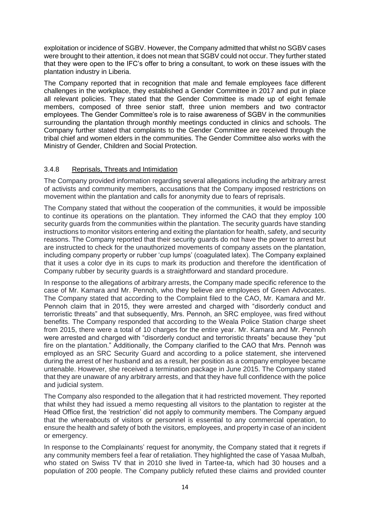exploitation or incidence of SGBV. However, the Company admitted that whilst no SGBV cases were brought to their attention, it does not mean that SGBV could not occur. They further stated that they were open to the IFC's offer to bring a consultant, to work on these issues with the plantation industry in Liberia.

The Company reported that in recognition that male and female employees face different challenges in the workplace, they established a Gender Committee in 2017 and put in place all relevant policies. They stated that the Gender Committee is made up of eight female members, composed of three senior staff, three union members and two contractor employees. The Gender Committee's role is to raise awareness of SGBV in the communities surrounding the plantation through monthly meetings conducted in clinics and schools. The Company further stated that complaints to the Gender Committee are received through the tribal chief and women elders in the communities. The Gender Committee also works with the Ministry of Gender, Children and Social Protection.

# 3.4.8 Reprisals, Threats and Intimidation

The Company provided information regarding several allegations including the arbitrary arrest of activists and community members, accusations that the Company imposed restrictions on movement within the plantation and calls for anonymity due to fears of reprisals.

The Company stated that without the cooperation of the communities, it would be impossible to continue its operations on the plantation. They informed the CAO that they employ 100 security guards from the communities within the plantation. The security guards have standing instructions to monitor visitors entering and exiting the plantation for health, safety, and security reasons. The Company reported that their security guards do not have the power to arrest but are instructed to check for the unauthorized movements of company assets on the plantation, including company property or rubber 'cup lumps' (coagulated latex). The Company explained that it uses a color dye in its cups to mark its production and therefore the identification of Company rubber by security guards is a straightforward and standard procedure.

In response to the allegations of arbitrary arrests, the Company made specific reference to the case of Mr. Kamara and Mr. Pennoh, who they believe are employees of Green Advocates. The Company stated that according to the Complaint filed to the CAO, Mr. Kamara and Mr. Pennoh claim that in 2015, they were arrested and charged with "disorderly conduct and terroristic threats" and that subsequently, Mrs. Pennoh, an SRC employee, was fired without benefits. The Company responded that according to the Weala Police Station charge sheet from 2015, there were a total of 10 charges for the entire year. Mr. Kamara and Mr. Pennoh were arrested and charged with "disorderly conduct and terroristic threats" because they "put fire on the plantation." Additionally, the Company clarified to the CAO that Mrs. Pennoh was employed as an SRC Security Guard and according to a police statement, she intervened during the arrest of her husband and as a result, her position as a company employee became untenable. However, she received a termination package in June 2015. The Company stated that they are unaware of any arbitrary arrests, and that they have full confidence with the police and judicial system.

The Company also responded to the allegation that it had restricted movement. They reported that whilst they had issued a memo requesting all visitors to the plantation to register at the Head Office first, the 'restriction' did not apply to community members. The Company argued that the whereabouts of visitors or personnel is essential to any commercial operation, to ensure the health and safety of both the visitors, employees, and property in case of an incident or emergency.

In response to the Complainants' request for anonymity, the Company stated that it regrets if any community members feel a fear of retaliation. They highlighted the case of Yasaa Mulbah, who stated on Swiss TV that in 2010 she lived in Tartee-ta, which had 30 houses and a population of 200 people. The Company publicly refuted these claims and provided counter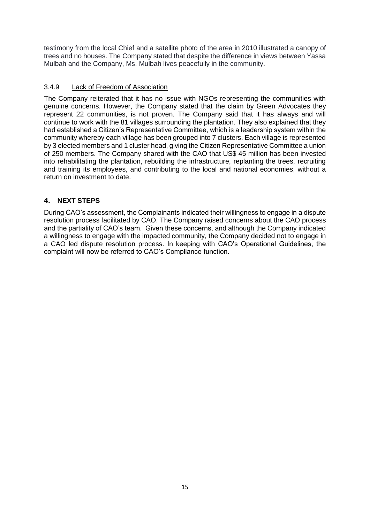testimony from the local Chief and a satellite photo of the area in 2010 illustrated a canopy of trees and no houses. The Company stated that despite the difference in views between Yassa Mulbah and the Company, Ms. Mulbah lives peacefully in the community.

## 3.4.9 Lack of Freedom of Association

The Company reiterated that it has no issue with NGOs representing the communities with genuine concerns. However, the Company stated that the claim by Green Advocates they represent 22 communities, is not proven. The Company said that it has always and will continue to work with the 81 villages surrounding the plantation. They also explained that they had established a Citizen's Representative Committee, which is a leadership system within the community whereby each village has been grouped into 7 clusters. Each village is represented by 3 elected members and 1 cluster head, giving the Citizen Representative Committee a union of 250 members. The Company shared with the CAO that US\$ 45 million has been invested into rehabilitating the plantation, rebuilding the infrastructure, replanting the trees, recruiting and training its employees, and contributing to the local and national economies, without a return on investment to date.

# <span id="page-18-0"></span>**4. NEXT STEPS**

During CAO's assessment, the Complainants indicated their willingness to engage in a dispute resolution process facilitated by CAO. The Company raised concerns about the CAO process and the partiality of CAO's team. Given these concerns, and although the Company indicated a willingness to engage with the impacted community, the Company decided not to engage in a CAO led dispute resolution process. In keeping with CAO's Operational Guidelines, the complaint will now be referred to CAO's Compliance function.